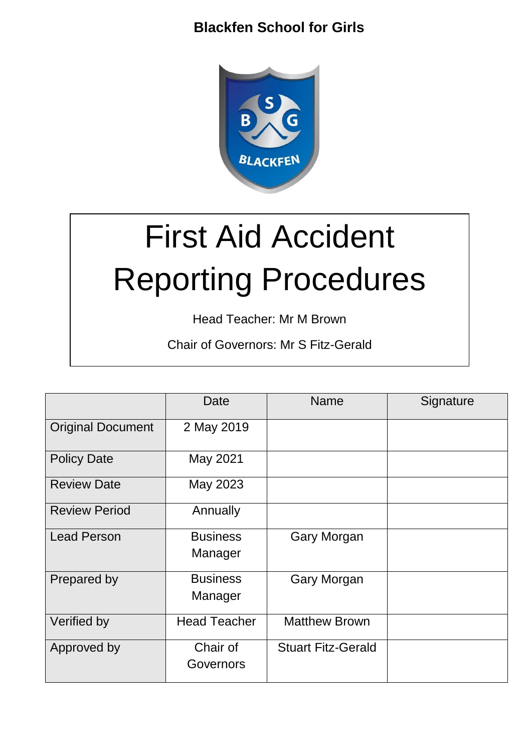

# First Aid Accident Reporting Procedures

Head Teacher: Mr M Brown

Chair of Governors: Mr S Fitz-Gerald

|                          | Date                       | <b>Name</b>               | Signature |
|--------------------------|----------------------------|---------------------------|-----------|
| <b>Original Document</b> | 2 May 2019                 |                           |           |
| <b>Policy Date</b>       | May 2021                   |                           |           |
| <b>Review Date</b>       | May 2023                   |                           |           |
| <b>Review Period</b>     | Annually                   |                           |           |
| <b>Lead Person</b>       | <b>Business</b><br>Manager | <b>Gary Morgan</b>        |           |
| Prepared by              | <b>Business</b><br>Manager | <b>Gary Morgan</b>        |           |
| Verified by              | <b>Head Teacher</b>        | <b>Matthew Brown</b>      |           |
| Approved by              | Chair of<br>Governors      | <b>Stuart Fitz-Gerald</b> |           |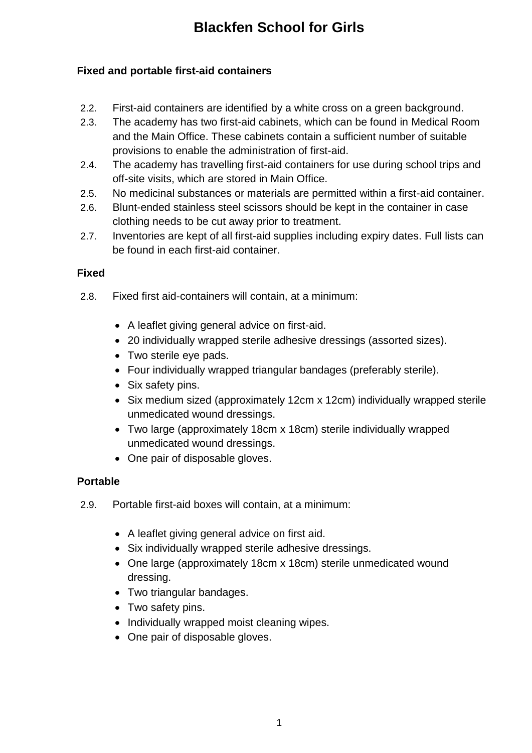#### **Fixed and portable first-aid containers**

- 2.2. First-aid containers are identified by a white cross on a green background.
- 2.3. The academy has two first-aid cabinets, which can be found in Medical Room and the Main Office. These cabinets contain a sufficient number of suitable provisions to enable the administration of first-aid.
- 2.4. The academy has travelling first-aid containers for use during school trips and off-site visits, which are stored in Main Office.
- 2.5. No medicinal substances or materials are permitted within a first-aid container.
- 2.6. Blunt-ended stainless steel scissors should be kept in the container in case clothing needs to be cut away prior to treatment.
- 2.7. Inventories are kept of all first-aid supplies including expiry dates. Full lists can be found in each first-aid container.

#### **Fixed**

- 2.8. Fixed first aid-containers will contain, at a minimum:
	- A leaflet giving general advice on first-aid.
	- 20 individually wrapped sterile adhesive dressings (assorted sizes).
	- Two sterile eye pads.
	- Four individually wrapped triangular bandages (preferably sterile).
	- Six safety pins.
	- Six medium sized (approximately 12cm x 12cm) individually wrapped sterile unmedicated wound dressings.
	- Two large (approximately 18cm x 18cm) sterile individually wrapped unmedicated wound dressings.
	- One pair of disposable gloves.

## **Portable**

- 2.9. Portable first-aid boxes will contain, at a minimum:
	- A leaflet giving general advice on first aid.
	- Six individually wrapped sterile adhesive dressings.
	- One large (approximately 18cm x 18cm) sterile unmedicated wound dressing.
	- Two triangular bandages.
	- Two safety pins.
	- Individually wrapped moist cleaning wipes.
	- One pair of disposable gloves.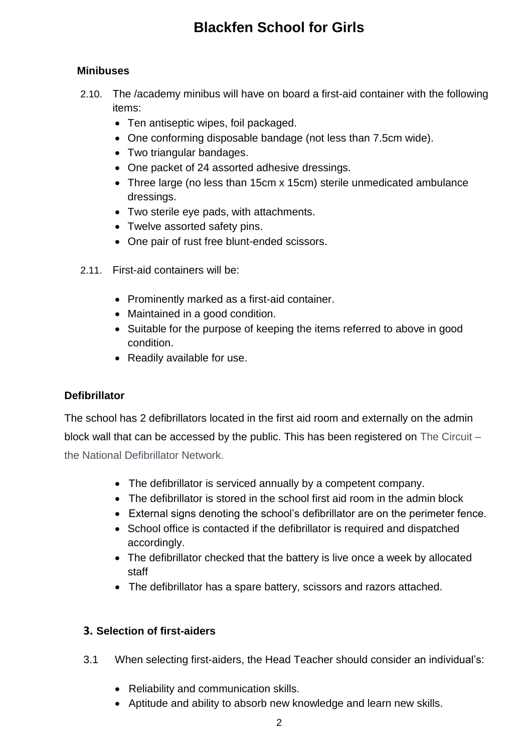#### **Minibuses**

- 2.10. The /academy minibus will have on board a first-aid container with the following items:
	- Ten antiseptic wipes, foil packaged.
	- One conforming disposable bandage (not less than 7.5cm wide).
	- Two triangular bandages.
	- One packet of 24 assorted adhesive dressings.
	- Three large (no less than 15cm x 15cm) sterile unmedicated ambulance dressings.
	- Two sterile eye pads, with attachments.
	- Twelve assorted safety pins.
	- One pair of rust free blunt-ended scissors.
- 2.11. First-aid containers will be:
	- Prominently marked as a first-aid container.
	- Maintained in a good condition.
	- Suitable for the purpose of keeping the items referred to above in good condition.
	- Readily available for use.

## **Defibrillator**

The school has 2 defibrillators located in the first aid room and externally on the admin block wall that can be accessed by the public. This has been registered on The Circuit – the National Defibrillator Network.

- The defibrillator is serviced annually by a competent company.
- The defibrillator is stored in the school first aid room in the admin block
- External signs denoting the school's defibrillator are on the perimeter fence.
- School office is contacted if the defibrillator is required and dispatched accordingly.
- The defibrillator checked that the battery is live once a week by allocated staff
- The defibrillator has a spare battery, scissors and razors attached.

#### **3. Selection of first-aiders**

- 3.1 When selecting first-aiders, the Head Teacher should consider an individual's:
	- Reliability and communication skills.
	- Aptitude and ability to absorb new knowledge and learn new skills.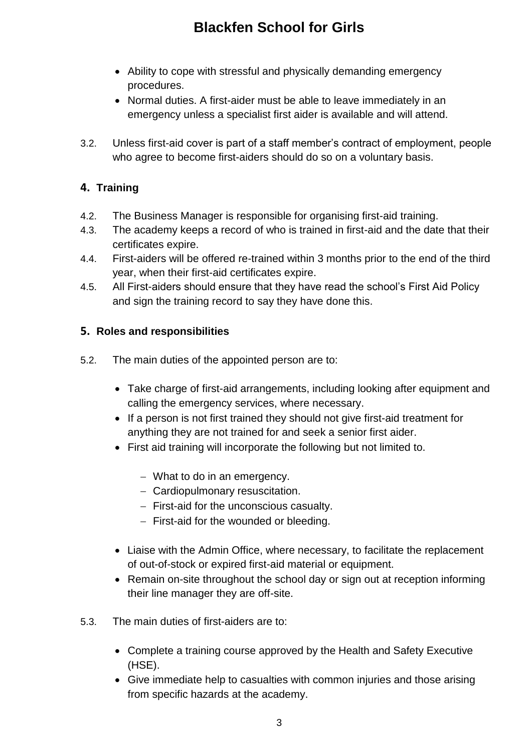- Ability to cope with stressful and physically demanding emergency procedures.
- Normal duties. A first-aider must be able to leave immediately in an emergency unless a specialist first aider is available and will attend.
- 3.2. Unless first-aid cover is part of a staff member's contract of employment, people who agree to become first-aiders should do so on a voluntary basis.

## **4. Training**

- 4.2. The Business Manager is responsible for organising first-aid training.
- 4.3. The academy keeps a record of who is trained in first-aid and the date that their certificates expire.
- 4.4. First-aiders will be offered re-trained within 3 months prior to the end of the third year, when their first-aid certificates expire.
- 4.5. All First-aiders should ensure that they have read the school's First Aid Policy and sign the training record to say they have done this.

## **5. Roles and responsibilities**

- 5.2. The main duties of the appointed person are to:
	- Take charge of first-aid arrangements, including looking after equipment and calling the emergency services, where necessary.
	- If a person is not first trained they should not give first-aid treatment for anything they are not trained for and seek a senior first aider.
	- First aid training will incorporate the following but not limited to.
		- What to do in an emergency.
		- Cardiopulmonary resuscitation.
		- $-$  First-aid for the unconscious casualty.
		- $-$  First-aid for the wounded or bleeding.
	- Liaise with the Admin Office, where necessary, to facilitate the replacement of out-of-stock or expired first-aid material or equipment.
	- Remain on-site throughout the school day or sign out at reception informing their line manager they are off-site.
- 5.3. The main duties of first-aiders are to:
	- Complete a training course approved by the Health and Safety Executive (HSE).
	- Give immediate help to casualties with common injuries and those arising from specific hazards at the academy.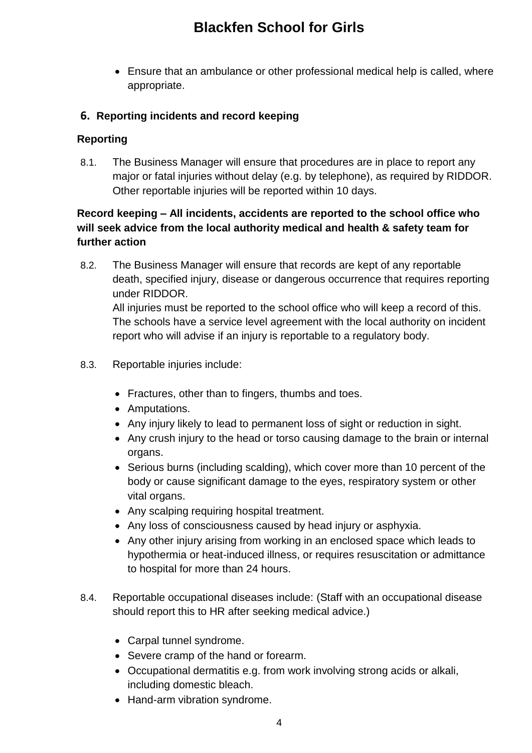Ensure that an ambulance or other professional medical help is called, where appropriate.

#### **6. Reporting incidents and record keeping**

#### **Reporting**

8.1. The Business Manager will ensure that procedures are in place to report any major or fatal injuries without delay (e.g. by telephone), as required by RIDDOR. Other reportable injuries will be reported within 10 days.

## **Record keeping – All incidents, accidents are reported to the school office who will seek advice from the local authority medical and health & safety team for further action**

8.2. The Business Manager will ensure that records are kept of any reportable death, specified injury, disease or dangerous occurrence that requires reporting under RIDDOR.

All injuries must be reported to the school office who will keep a record of this. The schools have a service level agreement with the local authority on incident report who will advise if an injury is reportable to a regulatory body.

- 8.3. Reportable injuries include:
	- Fractures, other than to fingers, thumbs and toes.
	- Amputations.
	- Any injury likely to lead to permanent loss of sight or reduction in sight.
	- Any crush injury to the head or torso causing damage to the brain or internal organs.
	- Serious burns (including scalding), which cover more than 10 percent of the body or cause significant damage to the eyes, respiratory system or other vital organs.
	- Any scalping requiring hospital treatment.
	- Any loss of consciousness caused by head injury or asphyxia.
	- Any other injury arising from working in an enclosed space which leads to hypothermia or heat-induced illness, or requires resuscitation or admittance to hospital for more than 24 hours.
- 8.4. Reportable occupational diseases include: (Staff with an occupational disease should report this to HR after seeking medical advice.)
	- Carpal tunnel syndrome.
	- Severe cramp of the hand or forearm.
	- Occupational dermatitis e.g. from work involving strong acids or alkali, including domestic bleach.
	- Hand-arm vibration syndrome.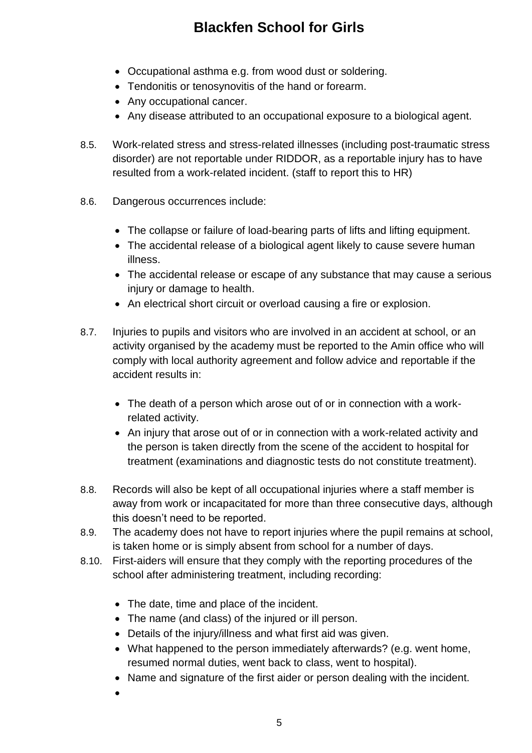- Occupational asthma e.g. from wood dust or soldering.
- Tendonitis or tenosynovitis of the hand or forearm.
- Any occupational cancer.
- Any disease attributed to an occupational exposure to a biological agent.
- 8.5. Work-related stress and stress-related illnesses (including post-traumatic stress disorder) are not reportable under RIDDOR, as a reportable injury has to have resulted from a work-related incident. (staff to report this to HR)
- 8.6. Dangerous occurrences include:
	- The collapse or failure of load-bearing parts of lifts and lifting equipment.
	- The accidental release of a biological agent likely to cause severe human illness.
	- The accidental release or escape of any substance that may cause a serious injury or damage to health.
	- An electrical short circuit or overload causing a fire or explosion.
- 8.7. Injuries to pupils and visitors who are involved in an accident at school, or an activity organised by the academy must be reported to the Amin office who will comply with local authority agreement and follow advice and reportable if the accident results in:
	- The death of a person which arose out of or in connection with a workrelated activity.
	- An injury that arose out of or in connection with a work-related activity and the person is taken directly from the scene of the accident to hospital for treatment (examinations and diagnostic tests do not constitute treatment).
- 8.8. Records will also be kept of all occupational injuries where a staff member is away from work or incapacitated for more than three consecutive days, although this doesn't need to be reported.
- 8.9. The academy does not have to report injuries where the pupil remains at school, is taken home or is simply absent from school for a number of days.
- 8.10. First-aiders will ensure that they comply with the reporting procedures of the school after administering treatment, including recording:
	- The date, time and place of the incident.
	- The name (and class) of the injured or ill person.
	- Details of the injury/illness and what first aid was given.
	- What happened to the person immediately afterwards? (e.g. went home, resumed normal duties, went back to class, went to hospital).
	- Name and signature of the first aider or person dealing with the incident.
	- $\bullet$